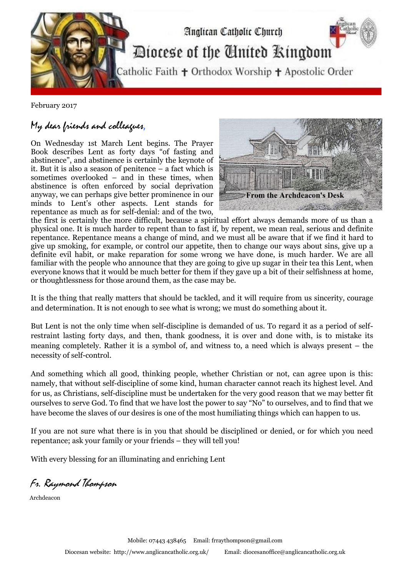

February 2017

## My dear friends and colleagues,

On Wednesday 1st March Lent begins. The Prayer Book describes Lent as forty days "of fasting and abstinence", and abstinence is certainly the keynote of it. But it is also a season of penitence – a fact which is sometimes overlooked – and in these times, when abstinence is often enforced by social deprivation anyway, we can perhaps give better prominence in our minds to Lent's other aspects. Lent stands for repentance as much as for self-denial: and of the two,



the first is certainly the more difficult, because a spiritual effort always demands more of us than a physical one. It is much harder to repent than to fast if, by repent, we mean real, serious and definite repentance. Repentance means a change of mind, and we must all be aware that if we find it hard to give up smoking, for example, or control our appetite, then to change our ways about sins, give up a definite evil habit, or make reparation for some wrong we have done, is much harder. We are all familiar with the people who announce that they are going to give up sugar in their tea this Lent, when everyone knows that it would be much better for them if they gave up a bit of their selfishness at home, or thoughtlessness for those around them, as the case may be.

It is the thing that really matters that should be tackled, and it will require from us sincerity, courage and determination. It is not enough to see what is wrong; we must do something about it.

But Lent is not the only time when self-discipline is demanded of us. To regard it as a period of selfrestraint lasting forty days, and then, thank goodness, it is over and done with, is to mistake its meaning completely. Rather it is a symbol of, and witness to, a need which is always present – the necessity of self-control.

And something which all good, thinking people, whether Christian or not, can agree upon is this: namely, that without self-discipline of some kind, human character cannot reach its highest level. And for us, as Christians, self-discipline must be undertaken for the very good reason that we may better fit ourselves to serve God. To find that we have lost the power to say "No" to ourselves, and to find that we have become the slaves of our desires is one of the most humiliating things which can happen to us.

If you are not sure what there is in you that should be disciplined or denied, or for which you need repentance; ask your family or your friends – they will tell you!

With every blessing for an illuminating and enriching Lent

Fr. Raymond Thompson

Archdeacon